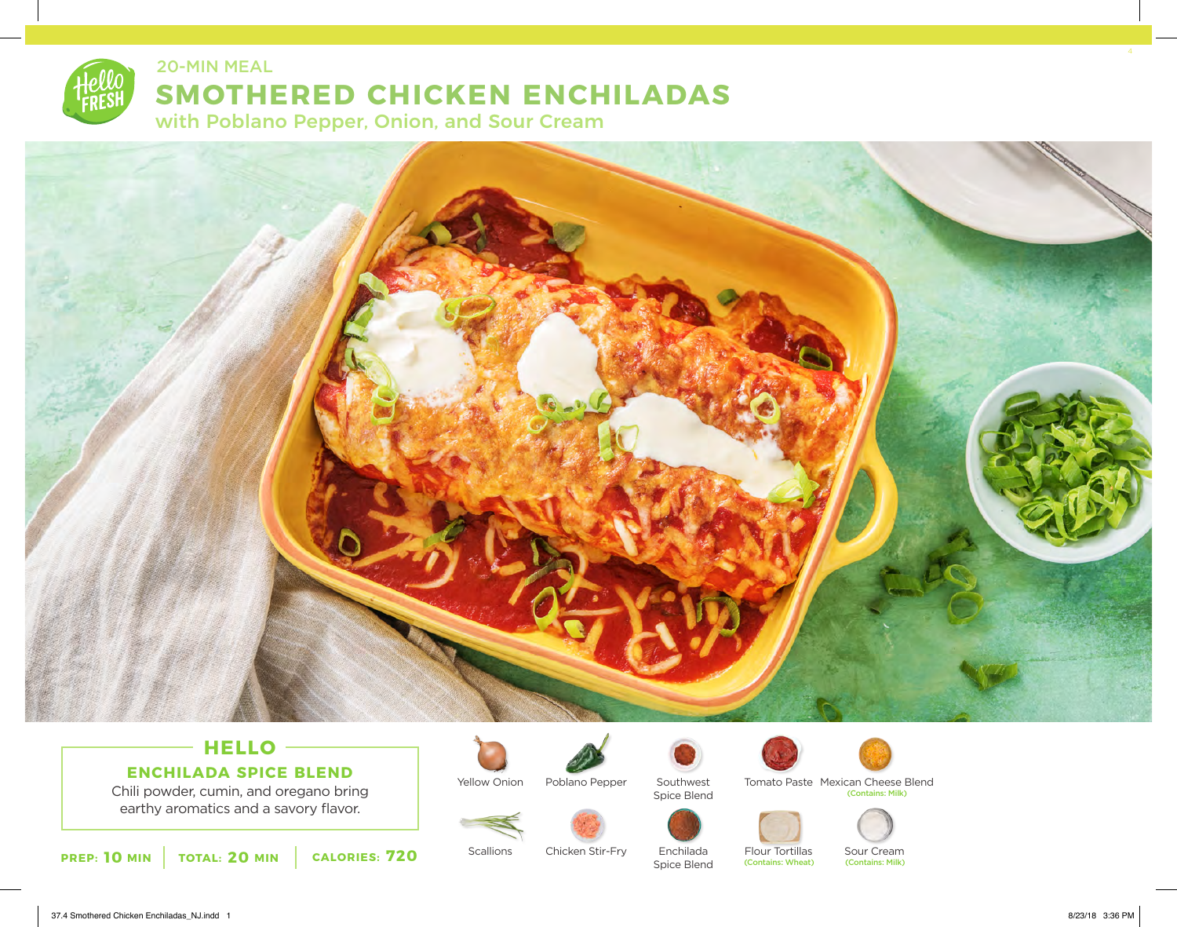

### 20-MIN MEAL

# **SMOTHERED CHICKEN ENCHILADAS**

with Poblano Pepper, Onion, and Sour Cream



# **HELLO ENCHILADA SPICE BLEND**

Chili powder, cumin, and oregano bring earthy aromatics and a savory flavor.



**Scallions** 

Yellow Onion



Poblano Pepper



Chicken Stir-Fry





Enchilada Spice Blend

Flour Tortillas (Contains: Wheat)



(Contains: Milk)

Tomato Paste Mexican Cheese Blend

Sour Cream<br>(Contains: Milk)

37.4 Smothered Chicken Enchiladas\_NJ.indd 1 8/23/18 3:36 PM